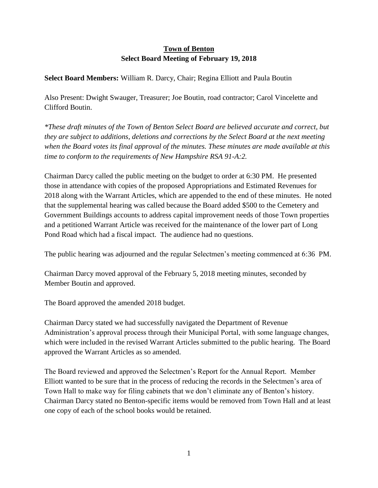### **Town of Benton Select Board Meeting of February 19, 2018**

#### **Select Board Members:** William R. Darcy, Chair; Regina Elliott and Paula Boutin

Also Present: Dwight Swauger, Treasurer; Joe Boutin, road contractor; Carol Vincelette and Clifford Boutin.

*\*These draft minutes of the Town of Benton Select Board are believed accurate and correct, but they are subject to additions, deletions and corrections by the Select Board at the next meeting when the Board votes its final approval of the minutes. These minutes are made available at this time to conform to the requirements of New Hampshire RSA 91-A:2.*

Chairman Darcy called the public meeting on the budget to order at 6:30 PM. He presented those in attendance with copies of the proposed Appropriations and Estimated Revenues for 2018 along with the Warrant Articles, which are appended to the end of these minutes. He noted that the supplemental hearing was called because the Board added \$500 to the Cemetery and Government Buildings accounts to address capital improvement needs of those Town properties and a petitioned Warrant Article was received for the maintenance of the lower part of Long Pond Road which had a fiscal impact. The audience had no questions.

The public hearing was adjourned and the regular Selectmen's meeting commenced at 6:36 PM.

Chairman Darcy moved approval of the February 5, 2018 meeting minutes, seconded by Member Boutin and approved.

The Board approved the amended 2018 budget.

Chairman Darcy stated we had successfully navigated the Department of Revenue Administration's approval process through their Municipal Portal, with some language changes, which were included in the revised Warrant Articles submitted to the public hearing. The Board approved the Warrant Articles as so amended.

The Board reviewed and approved the Selectmen's Report for the Annual Report. Member Elliott wanted to be sure that in the process of reducing the records in the Selectmen's area of Town Hall to make way for filing cabinets that we don't eliminate any of Benton's history. Chairman Darcy stated no Benton-specific items would be removed from Town Hall and at least one copy of each of the school books would be retained.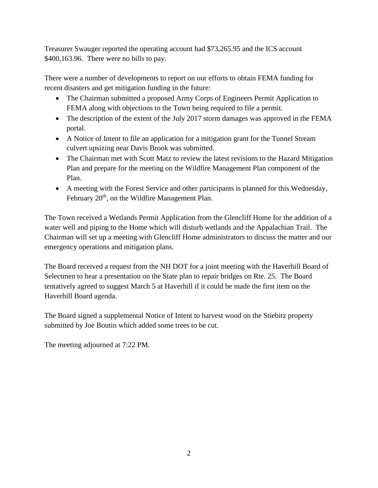Treasurer Swauger reported the operating account had \$73,265.95 and the ICS account \$400,163.96. There were no bills to pay.

There were a number of developments to report on our efforts to obtain FEMA funding for recent disasters and get mitigation funding in the future:

- The Chairman submitted a proposed Army Corps of Engineers Permit Application to FEMA along with objections to the Town being required to file a permit.
- The description of the extent of the July 2017 storm damages was approved in the FEMA portal.
- A Notice of Intent to file an application for a mitigation grant for the Tunnel Stream culvert upsizing near Davis Brook was submitted.
- The Chairman met with Scott Matz to review the latest revisions to the Hazard Mitigation Plan and prepare for the meeting on the Wildfire Management Plan component of the Plan.
- A meeting with the Forest Service and other participants is planned for this Wednesday, February 20<sup>th</sup>, on the Wildfire Management Plan.

The Town received a Wetlands Permit Application from the Glencliff Home for the addition of a water well and piping to the Home which will disturb wetlands and the Appalachian Trail. The Chairman will set up a meeting with Glencliff Home administrators to discuss the matter and our emergency operations and mitigation plans.

The Board received a request from the NH DOT for a joint meeting with the Haverhill Board of Selectmen to hear a presentation on the State plan to repair bridges on Rte. 25. The Board tentatively agreed to suggest March 5 at Haverhill if it could be made the first item on the Haverhill Board agenda.

The Board signed a supplemental Notice of Intent to harvest wood on the Stiebitz property submitted by Joe Boutin which added some trees to be cut.

The meeting adjourned at 7:22 PM.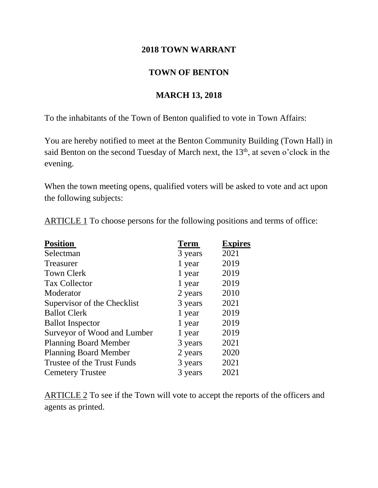## **2018 TOWN WARRANT**

# **TOWN OF BENTON**

# **MARCH 13, 2018**

To the inhabitants of the Town of Benton qualified to vote in Town Affairs:

You are hereby notified to meet at the Benton Community Building (Town Hall) in said Benton on the second Tuesday of March next, the 13<sup>th</sup>, at seven o'clock in the evening.

When the town meeting opens, qualified voters will be asked to vote and act upon the following subjects:

ARTICLE 1 To choose persons for the following positions and terms of office:

| <b>Position</b>              | <b>Term</b> | <b>Expires</b> |
|------------------------------|-------------|----------------|
| Selectman                    | 3 years     | 2021           |
| <b>Treasurer</b>             | 1 year      | 2019           |
| <b>Town Clerk</b>            | 1 year      | 2019           |
| <b>Tax Collector</b>         | 1 year      | 2019           |
| Moderator                    | 2 years     | 2010           |
| Supervisor of the Checklist  | 3 years     | 2021           |
| <b>Ballot Clerk</b>          | 1 year      | 2019           |
| <b>Ballot Inspector</b>      | 1 year      | 2019           |
| Surveyor of Wood and Lumber  | 1 year      | 2019           |
| <b>Planning Board Member</b> | 3 years     | 2021           |
| <b>Planning Board Member</b> | 2 years     | 2020           |
| Trustee of the Trust Funds   | 3 years     | 2021           |
| <b>Cemetery Trustee</b>      | 3 years     | 2021           |

ARTICLE 2 To see if the Town will vote to accept the reports of the officers and agents as printed.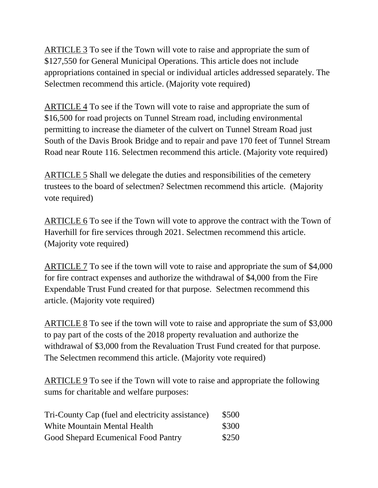ARTICLE 3 To see if the Town will vote to raise and appropriate the sum of \$127,550 for General Municipal Operations. This article does not include appropriations contained in special or individual articles addressed separately. The Selectmen recommend this article. (Majority vote required)

ARTICLE 4 To see if the Town will vote to raise and appropriate the sum of \$16,500 for road projects on Tunnel Stream road, including environmental permitting to increase the diameter of the culvert on Tunnel Stream Road just South of the Davis Brook Bridge and to repair and pave 170 feet of Tunnel Stream Road near Route 116. Selectmen recommend this article. (Majority vote required)

ARTICLE 5 Shall we delegate the duties and responsibilities of the cemetery trustees to the board of selectmen? Selectmen recommend this article. (Majority vote required)

ARTICLE 6 To see if the Town will vote to approve the contract with the Town of Haverhill for fire services through 2021. Selectmen recommend this article. (Majority vote required)

ARTICLE 7 To see if the town will vote to raise and appropriate the sum of \$4,000 for fire contract expenses and authorize the withdrawal of \$4,000 from the Fire Expendable Trust Fund created for that purpose. Selectmen recommend this article. (Majority vote required)

ARTICLE 8 To see if the town will vote to raise and appropriate the sum of \$3,000 to pay part of the costs of the 2018 property revaluation and authorize the withdrawal of \$3,000 from the Revaluation Trust Fund created for that purpose. The Selectmen recommend this article. (Majority vote required)

ARTICLE 9 To see if the Town will vote to raise and appropriate the following sums for charitable and welfare purposes:

| Tri-County Cap (fuel and electricity assistance) | \$500 |
|--------------------------------------------------|-------|
| White Mountain Mental Health                     | \$300 |
| Good Shepard Ecumenical Food Pantry              | \$250 |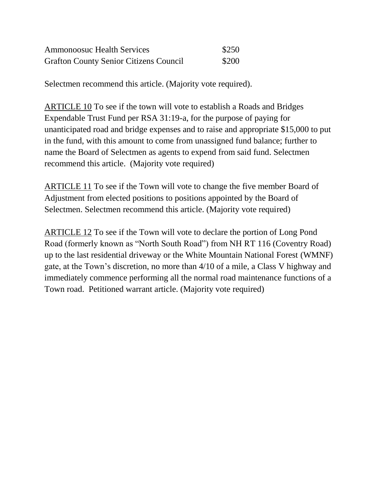| <b>Ammonoosuc Health Services</b>             | \$250 |
|-----------------------------------------------|-------|
| <b>Grafton County Senior Citizens Council</b> | \$200 |

Selectmen recommend this article. (Majority vote required).

ARTICLE 10 To see if the town will vote to establish a Roads and Bridges Expendable Trust Fund per RSA 31:19-a, for the purpose of paying for unanticipated road and bridge expenses and to raise and appropriate \$15,000 to put in the fund, with this amount to come from unassigned fund balance; further to name the Board of Selectmen as agents to expend from said fund. Selectmen recommend this article. (Majority vote required)

ARTICLE 11 To see if the Town will vote to change the five member Board of Adjustment from elected positions to positions appointed by the Board of Selectmen. Selectmen recommend this article. (Majority vote required)

ARTICLE 12 To see if the Town will vote to declare the portion of Long Pond Road (formerly known as "North South Road") from NH RT 116 (Coventry Road) up to the last residential driveway or the White Mountain National Forest (WMNF) gate, at the Town's discretion, no more than 4/10 of a mile, a Class V highway and immediately commence performing all the normal road maintenance functions of a Town road. Petitioned warrant article. (Majority vote required)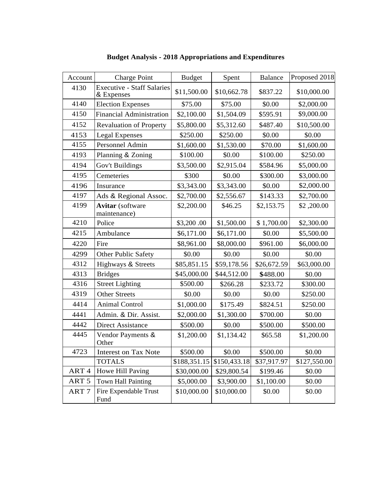| Account          | Charge Point                                    | <b>Budget</b> | Spent        | <b>Balance</b> | Proposed 2018 |
|------------------|-------------------------------------------------|---------------|--------------|----------------|---------------|
| 4130             | <b>Executive - Staff Salaries</b><br>& Expenses | \$11,500.00   | \$10,662.78  | \$837.22       | \$10,000.00   |
| 4140             | <b>Election Expenses</b>                        | \$75.00       | \$75.00      | \$0.00         | \$2,000.00    |
| 4150             | <b>Financial Administration</b>                 | \$2,100.00    | \$1,504.09   | \$595.91       | \$9,000.00    |
| 4152             | <b>Revaluation of Property</b>                  | \$5,800.00    | \$5,312.60   | \$487.40       | \$10,500.00   |
| 4153             | Legal Expenses                                  | \$250.00      | \$250.00     | \$0.00         | \$0.00        |
| 4155             | Personnel Admin                                 | \$1,600.00    | \$1,530.00   | \$70.00        | \$1,600.00    |
| 4193             | Planning & Zoning                               | \$100.00      | \$0.00       | \$100.00       | \$250.00      |
| 4194             | Gov't Buildings                                 | \$3,500.00    | \$2,915.04   | \$584.96       | \$5,000.00    |
| 4195             | Cemeteries                                      | \$300         | \$0.00       | \$300.00       | \$3,000.00    |
| 4196             | Insurance                                       | \$3,343.00    | \$3,343.00   | \$0.00         | \$2,000.00    |
| 4197             | Ads & Regional Assoc.                           | \$2,700.00    | \$2,556.67   | \$143.33       | \$2,700.00    |
| 4199             | <b>Avitar</b> (software<br>maintenance)         | \$2,200.00    | \$46.25      | \$2,153.75     | \$2,200.00    |
| 4210             | Police                                          | \$3,200.00    | \$1,500.00   | \$1,700.00     | \$2,300.00    |
| 4215             | Ambulance                                       | \$6,171.00    | \$6,171.00   | \$0.00         | \$5,500.00    |
| 4220             | Fire                                            | \$8,961.00    | \$8,000.00   | \$961.00       | \$6,000.00    |
| 4299             | Other Public Safety                             | \$0.00        | \$0.00       | \$0.00         | \$0.00        |
| 4312             | Highways & Streets                              | \$85,851.15   | \$59,178.56  | \$26,672.59    | \$63,000.00   |
| 4313             | <b>Bridges</b>                                  | \$45,000.00   | \$44,512.00  | \$488.00       | \$0.00        |
| 4316             | <b>Street Lighting</b>                          | \$500.00      | \$266.28     | \$233.72       | \$300.00      |
| 4319             | <b>Other Streets</b>                            | \$0.00        | \$0.00       | \$0.00         | \$250.00      |
| 4414             | <b>Animal Control</b>                           | \$1,000.00    | \$175.49     | \$824.51       | \$250.00      |
| 4441             | Admin. & Dir. Assist.                           | \$2,000.00    | \$1,300.00   | \$700.00       | \$0.00        |
| 4442             | <b>Direct Assistance</b>                        | \$500.00      | \$0.00       | \$500.00       | \$500.00      |
| 4445             | Vendor Payments &<br>Other                      | \$1,200.00    | \$1,134.42   | \$65.58        | \$1,200.00    |
| 4723             | <b>Interest on Tax Note</b>                     | \$500.00      | \$0.00       | \$500.00       | \$0.00        |
|                  | <b>TOTALS</b>                                   | \$188,351.15  | \$150,433.18 | \$37,917.97    | \$127,550.00  |
| ART <sub>4</sub> | Howe Hill Paving                                | \$30,000.00   | \$29,800.54  | \$199.46       | \$0.00        |
| ART <sub>5</sub> | Town Hall Painting                              | \$5,000.00    | \$3,900.00   | \$1,100.00     | \$0.00        |
| ART <sub>7</sub> | Fire Expendable Trust<br>Fund                   | \$10,000.00   | \$10,000.00  | \$0.00         | \$0.00        |

 **Budget Analysis - 2018 Appropriations and Expenditures**